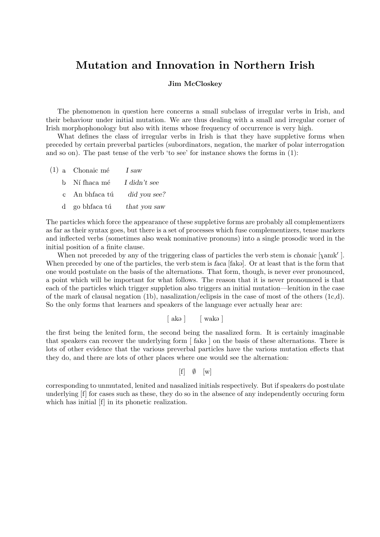## Mutation and Innovation in Northern Irish

## Jim McCloskey

The phenomenon in question here concerns a small subclass of irregular verbs in Irish, and their behaviour under initial mutation. We are thus dealing with a small and irregular corner of Irish morphophonology but also with items whose frequency of occurrence is very high.

What defines the class of irregular verbs in Irish is that they have suppletive forms when preceded by certain preverbal particles (subordinators, negation, the marker of polar interrogation and so on). The past tense of the verb 'to see' for instance shows the forms in (1):

- $(1)$  a Chonaic mé I saw
	- b. Ní fhaca mé I didn't see
	- c. An bhfaca tú  $did you see?$
	- d go bhfaca tú that you saw

The particles which force the appearance of these suppletive forms are probably all complementizers as far as their syntax goes, but there is a set of processes which fuse complementizers, tense markers and inflected verbs (sometimes also weak nominative pronouns) into a single prosodic word in the initial position of a finite clause.

When not preceded by any of the triggering class of particles the verb stem is chonaic  $[\chi$ anık'. When preceded by one of the particles, the verb stem is faca [fak.]. Or at least that is the form that one would postulate on the basis of the alternations. That form, though, is never ever pronounced, a point which will be important for what follows. The reason that it is never pronounced is that each of the particles which trigger suppletion also triggers an initial mutation—lenition in the case of the mark of clausal negation (1b), nasalization/eclipsis in the case of most of the others  $(1c,d)$ . So the only forms that learners and speakers of the language ever actually hear are:

 $\lceil ak_{\theta} \rceil$   $\lceil wak_{\theta} \rceil$ 

the first being the lenited form, the second being the nasalized form. It is certainly imaginable that speakers can recover the underlying form  $\lceil \text{ fako} \rceil$  on the basis of these alternations. There is lots of other evidence that the various preverbal particles have the various mutation effects that they do, and there are lots of other places where one would see the alternation:

## $[f] \emptyset$   $[w]$

corresponding to unmutated, lenited and nasalized initials respectively. But if speakers do postulate underlying [f] for cases such as these, they do so in the absence of any independently occuring form which has initial [f] in its phonetic realization.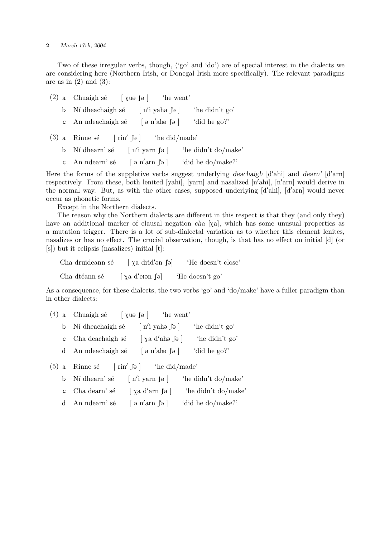## 2 March 17th, 2004

Two of these irregular verbs, though, ('go' and 'do') are of special interest in the dialects we are considering here (Northern Irish, or Donegal Irish more specifically). The relevant paradigms are as in  $(2)$  and  $(3)$ :

- (2) a Chuaigh sé  $[\chi_{\text{u}\vartheta} \text{e}]$  'he went'
	- b. Ní dheachaigh sé  $\lceil n'i \rangle$  vaha $\lceil n \rceil$ 'he didn't go'
	- c An ndeachaigh sé [  $\theta$  n'ah $\theta$   $\theta$  ] 'did he go?'
- $(3)$  a. Rinne sé  $\lceil \text{rin}' \rceil$   $\downarrow$  he did/made
	- b. Ní dhearn' sé  $\lceil n'i \rangle$  varn  $\lceil a \rceil$  'he didn't do/make'
	- c An ndearn' sé  $\lceil \frac{\partial n}{\partial n} \rceil$  'did he do/make?'

Here the forms of the suppletive verbs suggest underlying deachaigh  $\left[\frac{d}{ahi}\right]$  and dearn'  $\left[\frac{d}{am}\right]$ respectively. From these, both lenited [yahi], [yarn] and nasalized [n'ahi], [n'arn] would derive in the normal way. But, as with the other cases, supposed underlying  $[d'ahi]$ ,  $[d'arn]$  would never occur as phonetic forms.

Except in the Northern dialects.

The reason why the Northern dialects are different in this respect is that they (and only they) have an additional marker of clausal negation cha [ $\chi$ a], which has some unusual properties as a mutation trigger. There is a lot of sub-dialectal variation as to whether this element lenites, nasalizes or has no effect. The crucial observation, though, is that has no effect on initial [d] (or [s]) but it eclipsis (nasalizes) initial [t]:

 $Cha$  druideann sé  $[\nabla a \cdot \text{d}r]$ 'He doesn't close  $\lceil \chi \rceil$  d'et an  $\lceil \rceil$  He doesn't go'

Cha dtéann sé

As a consequence, for these dialects, the two verbs 'go' and 'do/make' have a fuller paradigm than in other dialects:

- (4) a Chuaigh sé  $[\chi u_{\theta} | \theta]$  'he went'
	- b. Ní dheachaigh sé  $[n'i$  yaha  $\lceil a \rceil$ 'he didn't go'
	- c. Cha deachaigh sé  $[\chi a d' a h_{\theta} \upharpoonright \circ ]$  'he didn't go'
	- d An ndeachaigh sé [  $\partial$  n'ah $\partial$   $\partial$  ] 'did he go?'

 $(5)$  a. Rinne sé  $\lceil \n\operatorname{rin}' \rceil$   $\vartheta$   $\lceil \operatorname{ind}' \rceil$   $\lceil \operatorname{ind}' \rceil$ 

- b. Ní dhearn' sé  $[n'i$  yarn  $\lceil a \rceil$ 'he didn't do/make'
- c. Cha dearn' sé  $[\ \chi \text{a} \ \text{d}' \text{arn} \ \text{f}_\theta ]$  'he didn't do/make'
- d An ndearn' sé  $\left[\begin{array}{cc} \varphi \text{ n'arn } \varphi \end{array}\right]$ 'did he do/make?'